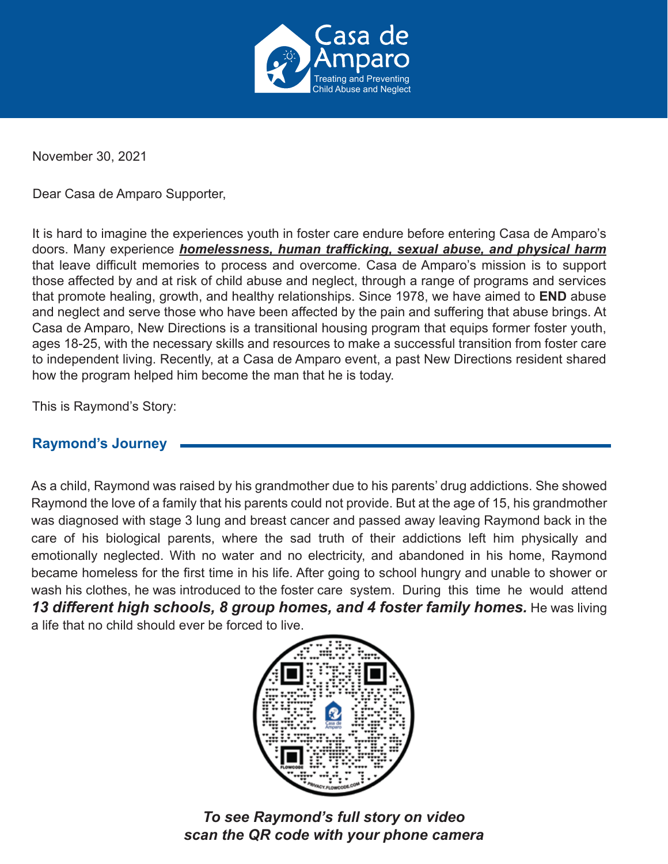

November 30, 2021

Dear Casa de Amparo Supporter,

It is hard to imagine the experiences youth in foster care endure before entering Casa de Amparo's doors. Many experience *homelessness, human trafficking, sexual abuse, and physical harm* that leave difficult memories to process and overcome. Casa de Amparo's mission is to support those affected by and at risk of child abuse and neglect, through a range of programs and services that promote healing, growth, and healthy relationships. Since 1978, we have aimed to **END** abuse and neglect and serve those who have been affected by the pain and suffering that abuse brings. At Casa de Amparo, New Directions is a transitional housing program that equips former foster youth, ages 18-25, with the necessary skills and resources to make a successful transition from foster care to independent living. Recently, at a Casa de Amparo event, a past New Directions resident shared how the program helped him become the man that he is today.

This is Raymond's Story:

## **Raymond's Journey**

As a child, Raymond was raised by his grandmother due to his parents' drug addictions. She showed Raymond the love of a family that his parents could not provide. But at the age of 15, his grandmother was diagnosed with stage 3 lung and breast cancer and passed away leaving Raymond back in the care of his biological parents, where the sad truth of their addictions left him physically and emotionally neglected. With no water and no electricity, and abandoned in his home, Raymond became homeless for the first time in his life. After going to school hungry and unable to shower or wash his clothes, he was introduced to the foster care system. During this time he would attend *13 different high schools, 8 group homes, and 4 foster family homes.* He was living a life that no child should ever be forced to live.



*To see Raymond's full story on video scan the QR code with your phone camera*